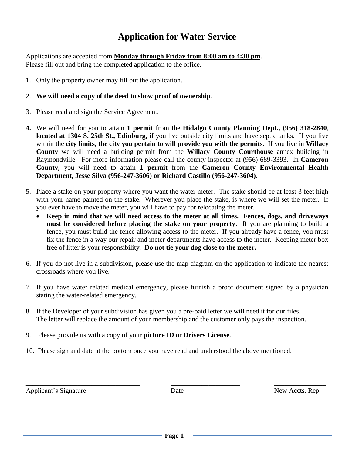## **Application for Water Service**

Applications are accepted from **Monday through Friday from 8:00 am to 4:30 pm**. Please fill out and bring the completed application to the office.

- 1. Only the property owner may fill out the application.
- 2. **We will need a copy of the deed to show proof of ownership**.
- 3. Please read and sign the Service Agreement.
- **4.** We will need for you to attain **1 permit** from the **Hidalgo County Planning Dept., (956) 318-2840**, **located at 1304 S. 25th St., Edinburg,** if you live outside city limits and have septic tanks. If you live within the **city limits, the city you pertain to will provide you with the permits**. If you live in **Willacy County** we will need a building permit from the **Willacy County Courthouse** annex building in Raymondville. For more information please call the county inspector at (956) 689-3393. In **Cameron County,** you will need to attain **1 permit** from the **Cameron County Environmental Health Department, Jesse Silva (956-247-3606) or Richard Castillo (956-247-3604).**
- 5. Place a stake on your property where you want the water meter. The stake should be at least 3 feet high with your name painted on the stake. Wherever you place the stake, is where we will set the meter. If you ever have to move the meter, you will have to pay for relocating the meter.
	- **Keep in mind that we will need access to the meter at all times. Fences, dogs, and driveways must be considered before placing the stake on your property**. If you are planning to build a fence, you must build the fence allowing access to the meter. If you already have a fence, you must fix the fence in a way our repair and meter departments have access to the meter. Keeping meter box free of litter is your responsibility. **Do not tie your dog close to the meter.**
- 6. If you do not live in a subdivision, please use the map diagram on the application to indicate the nearest crossroads where you live.
- 7. If you have water related medical emergency, please furnish a proof document signed by a physician stating the water-related emergency.
- 8. If the Developer of your subdivision has given you a pre-paid letter we will need it for our files. The letter will replace the amount of your membership and the customer only pays the inspection.
- 9. Please provide us with a copy of your **picture ID** or **Drivers License**.
- 10. Please sign and date at the bottom once you have read and understood the above mentioned.

Applicant's Signature Date Date New Accts. Rep.

\_\_\_\_\_\_\_\_\_\_\_\_\_\_\_\_\_\_\_\_\_\_\_\_\_\_\_\_\_\_\_\_\_ \_\_\_\_\_\_\_\_\_\_\_\_\_\_\_\_\_\_\_\_ \_\_\_\_\_\_\_\_\_\_\_\_\_\_\_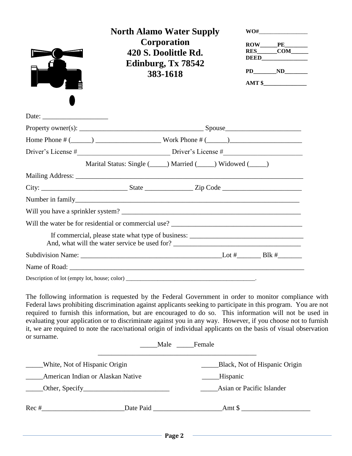|                                          | <b>North Alamo Water Supply</b>                                                                                                                                                                                                                                                                                                                                                                                                                                                                                                                                                      |                           | WO#                                |  |  |  |
|------------------------------------------|--------------------------------------------------------------------------------------------------------------------------------------------------------------------------------------------------------------------------------------------------------------------------------------------------------------------------------------------------------------------------------------------------------------------------------------------------------------------------------------------------------------------------------------------------------------------------------------|---------------------------|------------------------------------|--|--|--|
|                                          | Corporation<br>420 S. Doolittle Rd.<br>Edinburg, Tx 78542<br>383-1618                                                                                                                                                                                                                                                                                                                                                                                                                                                                                                                |                           | $RES$ $COM$ $\qquad$<br>AMT \$     |  |  |  |
|                                          |                                                                                                                                                                                                                                                                                                                                                                                                                                                                                                                                                                                      |                           |                                    |  |  |  |
|                                          |                                                                                                                                                                                                                                                                                                                                                                                                                                                                                                                                                                                      |                           |                                    |  |  |  |
|                                          |                                                                                                                                                                                                                                                                                                                                                                                                                                                                                                                                                                                      |                           |                                    |  |  |  |
|                                          |                                                                                                                                                                                                                                                                                                                                                                                                                                                                                                                                                                                      |                           |                                    |  |  |  |
|                                          | Marital Status: Single (_____) Married (_____) Widowed (____)                                                                                                                                                                                                                                                                                                                                                                                                                                                                                                                        |                           |                                    |  |  |  |
|                                          |                                                                                                                                                                                                                                                                                                                                                                                                                                                                                                                                                                                      |                           |                                    |  |  |  |
|                                          |                                                                                                                                                                                                                                                                                                                                                                                                                                                                                                                                                                                      |                           |                                    |  |  |  |
|                                          |                                                                                                                                                                                                                                                                                                                                                                                                                                                                                                                                                                                      |                           |                                    |  |  |  |
|                                          | Will you have a sprinkler system?                                                                                                                                                                                                                                                                                                                                                                                                                                                                                                                                                    |                           |                                    |  |  |  |
|                                          |                                                                                                                                                                                                                                                                                                                                                                                                                                                                                                                                                                                      |                           |                                    |  |  |  |
|                                          | If commercial, please state what type of business: ______________________________                                                                                                                                                                                                                                                                                                                                                                                                                                                                                                    |                           |                                    |  |  |  |
|                                          |                                                                                                                                                                                                                                                                                                                                                                                                                                                                                                                                                                                      |                           |                                    |  |  |  |
|                                          |                                                                                                                                                                                                                                                                                                                                                                                                                                                                                                                                                                                      |                           |                                    |  |  |  |
|                                          |                                                                                                                                                                                                                                                                                                                                                                                                                                                                                                                                                                                      |                           |                                    |  |  |  |
| or surname.                              | The following information is requested by the Federal Government in order to monitor compliance with<br>Federal laws prohibiting discrimination against applicants seeking to participate in this program. You are not<br>required to furnish this information, but are encouraged to do so. This information will not be used in<br>evaluating your application or to discriminate against you in any way. However, if you choose not to furnish<br>it, we are required to note the race/national origin of individual applicants on the basis of visual observation<br>Male Female |                           |                                    |  |  |  |
| _____White, Not of Hispanic Origin       |                                                                                                                                                                                                                                                                                                                                                                                                                                                                                                                                                                                      |                           | _____Black, Not of Hispanic Origin |  |  |  |
| <b>American Indian or Alaskan Native</b> |                                                                                                                                                                                                                                                                                                                                                                                                                                                                                                                                                                                      | ____Hispanic              |                                    |  |  |  |
|                                          |                                                                                                                                                                                                                                                                                                                                                                                                                                                                                                                                                                                      | Asian or Pacific Islander |                                    |  |  |  |
|                                          |                                                                                                                                                                                                                                                                                                                                                                                                                                                                                                                                                                                      |                           |                                    |  |  |  |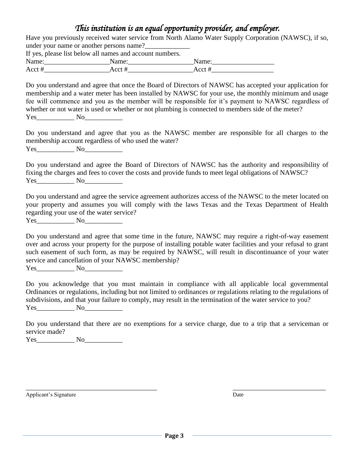|                                                                       | This institution is an equal opportunity provider, and employer.                                                                                                                                                                                                                                                                                                                                                             |
|-----------------------------------------------------------------------|------------------------------------------------------------------------------------------------------------------------------------------------------------------------------------------------------------------------------------------------------------------------------------------------------------------------------------------------------------------------------------------------------------------------------|
|                                                                       | Have you previously received water service from North Alamo Water Supply Corporation (NAWSC), if so,                                                                                                                                                                                                                                                                                                                         |
|                                                                       |                                                                                                                                                                                                                                                                                                                                                                                                                              |
| If yes, please list below all names and account numbers.              |                                                                                                                                                                                                                                                                                                                                                                                                                              |
|                                                                       |                                                                                                                                                                                                                                                                                                                                                                                                                              |
|                                                                       |                                                                                                                                                                                                                                                                                                                                                                                                                              |
| $Yes$ No                                                              | Do you understand and agree that once the Board of Directors of NAWSC has accepted your application for<br>membership and a water meter has been installed by NAWSC for your use, the monthly minimum and usage<br>fee will commence and you as the member will be responsible for it's payment to NAWSC regardless of<br>whether or not water is used or whether or not plumbing is connected to members side of the meter? |
| membership account regardless of who used the water?<br>$Yes$ No $No$ | Do you understand and agree that you as the NAWSC member are responsible for all charges to the                                                                                                                                                                                                                                                                                                                              |
| $Yes$ No No                                                           | Do you understand and agree the Board of Directors of NAWSC has the authority and responsibility of<br>fixing the charges and fees to cover the costs and provide funds to meet legal obligations of NAWSC?                                                                                                                                                                                                                  |
| regarding your use of the water service?<br>$Yes$ No                  | Do you understand and agree the service agreement authorizes access of the NAWSC to the meter located on<br>your property and assumes you will comply with the laws Texas and the Texas Department of Health                                                                                                                                                                                                                 |
| service and cancellation of your NAWSC membership?<br>$Yes$ No        | Do you understand and agree that some time in the future, NAWSC may require a right-of-way easement<br>over and across your property for the purpose of installing potable water facilities and your refusal to grant<br>such easement of such form, as may be required by NAWSC, will result in discontinuance of your water                                                                                                |
| $Yes$ No                                                              | Do you acknowledge that you must maintain in compliance with all applicable local governmental<br>Ordinances or regulations, including but not limited to ordinances or regulations relating to the regulations of<br>subdivisions, and that your failure to comply, may result in the termination of the water service to you?                                                                                              |
| service made?                                                         | Do you understand that there are no exemptions for a service charge, due to a trip that a serviceman or                                                                                                                                                                                                                                                                                                                      |

Yes\_\_\_\_\_\_\_\_\_\_\_ No\_\_\_\_\_\_\_\_\_\_\_

Applicant's Signature Date

\_\_\_\_\_\_\_\_\_\_\_\_\_\_\_\_\_\_\_\_\_\_\_\_\_\_\_\_\_\_\_\_\_\_\_\_\_\_ \_\_\_\_\_\_\_\_\_\_\_\_\_\_\_\_\_\_\_\_\_\_\_\_\_\_\_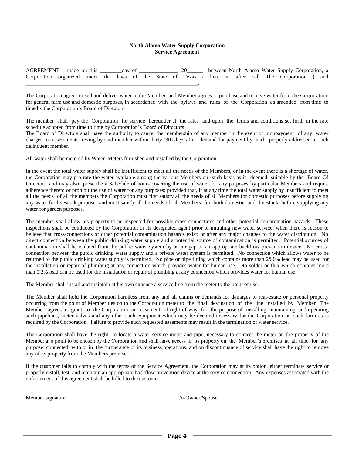#### **North Alamo Water Supply Corporation Service Agreement**

|                                                                                                      |  |  |  |  |  |  |  | between North Alamo Water Supply Corporation, a |  |
|------------------------------------------------------------------------------------------------------|--|--|--|--|--|--|--|-------------------------------------------------|--|
| Corporation organized under the laws of the State of Texas (here in after call The Corporation ) and |  |  |  |  |  |  |  |                                                 |  |
|                                                                                                      |  |  |  |  |  |  |  |                                                 |  |

The Corporation agrees to sell and deliver water to the Member and Member agrees to purchase and receive water from the Corporation, for general farm use and domestic purposes, in accordance with the bylaws and rules of the Corporation as amended from time to time by the Corporation's Board of Directors.

The member shall pay the Corporation for service hereunder at the rates and upon the terms and conditions set forth in the rate schedule adopted from time to time by Corporation's Board of Directors

The Board of Directors shall have the authority to cancel the membership of any member in the event of nonpayment of any water charges or assessments owing by said member within thirty (30) days after demand for payment by mail, properly addressed to such delinquent member.

All water shall be metered by Water Meters furnished and installed by the Corporation.

In the event the total water supply shall be insufficient to meet all the needs of the Members, or in the event there is a shortage of water, the Corporation may pro-rate the water available among the various Members on such basis as is deemed suitable by the Board Of Director, and may also prescribe a Schedule of hours covering the use of water for any purposes by particular Members and require adherence thereto or prohibit the use of water for any purposes; provided that, if at any time the total water supply by insufficient to meet all the needs of all the members the Corporation must first satisfy all the needs of all Members for domestic purposes before supplying any water for livestock purposes and must satisfy all the needs of all Members for both domestic and livestock before supplying any water for garden purposes.

The member shall allow his property to be inspected for possible cross-connections and other potential contamination hazards. These inspections shall be conducted by the Corporation or its designated agent prior to initiating new water service; when there is reason to believe that cross-connections or other potential contamination hazards exist; or after any major changes to the water distribution. No direct connection between the public drinking water supply and a potential source of contamination is permitted. Potential sources of contamination shall be isolated from the public water system by an air-gap or an appropriate backflow prevention device. No crossconnection between the public drinking water supply and a private water system is permitted. No connection which allows water to be returned to the public drinking water supply is permitted. No pipe or pipe fitting which contains more than 25.0% lead may be used for the installation or repair of plumbing at any connection which provides water for human use. No solder or flux which contains more than 0.2% lead can be used for the installation or repair of plumbing at any connection which provides water for human use.

The Member shall install and maintain at his own expense a service line from the meter to the point of use.

The Member shall hold the Corporation harmless from any and all claims or demands for damages to real-estate or personal property occurring from the point of Member ties on to the Corporation meter to the final destination of the line installed by Member. The Member agrees to grant to the Corporation an easement of right-of-way for the purpose of installing, maintaining, and operating such pipelines, meter valves and any other such equipment which may be deemed necessary for the Corporation on such form as is required by the Corporation. Failure to provide such requested easements may result in the termination of water service.

The Corporation shall have the right to locate a water service meter and pipe, necessary to connect the meter on the property of the Member at a point to be chosen by the Corporation and shall have access to its property on the Member's premises at all time for any purpose connected with or in the furtherance of its business operations, and on discontinuance of service shall have the right to remove any of its property from the Members premises.

If the customer fails to comply with the terms of the Service Agreement, the Corporation may at its option, either terminate service or properly install, test, and maintain an appropriate backflow prevention device at the service connection. Any expenses associated with the enforcement of this agreement shall be billed to the customer.

| Member<br>nature<br>819 | Spouse<br>м<br>/ner<br>.<br>---- |
|-------------------------|----------------------------------|
|                         |                                  |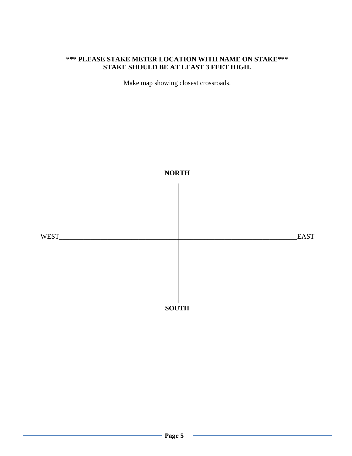### **\*\*\* PLEASE STAKE METER LOCATION WITH NAME ON STAKE\*\*\* STAKE SHOULD BE AT LEAST 3 FEET HIGH.**

Make map showing closest crossroads.

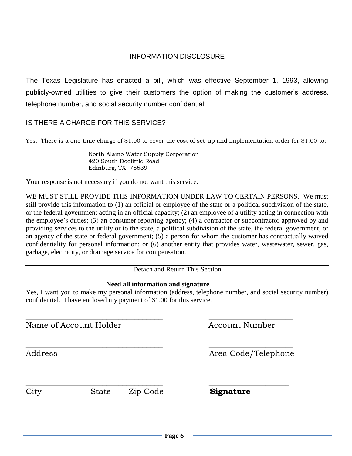#### INFORMATION DISCLOSURE

The Texas Legislature has enacted a bill, which was effective September 1, 1993, allowing publicly-owned utilities to give their customers the option of making the customer's address, telephone number, and social security number confidential.

#### IS THERE A CHARGE FOR THIS SERVICE?

Yes. There is a one-time charge of \$1.00 to cover the cost of set-up and implementation order for \$1.00 to:

 North Alamo Water Supply Corporation 420 South Doolittle Road Edinburg, TX 78539

Your response is not necessary if you do not want this service.

WE MUST STILL PROVIDE THIS INFORMATION UNDER LAW TO CERTAIN PERSONS. We must still provide this information to (1) an official or employee of the state or a political subdivision of the state, or the federal government acting in an official capacity; (2) an employee of a utility acting in connection with the employee's duties; (3) an consumer reporting agency; (4) a contractor or subcontractor approved by and providing services to the utility or to the state, a political subdivision of the state, the federal government, or an agency of the state or federal government; (5) a person for whom the customer has contractually waived confidentiality for personal information; or (6) another entity that provides water, wastewater, sewer, gas, garbage, electricity, or drainage service for compensation.

Detach and Return This Section

#### **Need all information and signature**

\_\_\_\_\_\_\_\_\_\_\_\_\_\_\_\_\_\_\_\_\_\_\_\_\_\_\_\_\_\_\_\_\_\_ \_\_\_\_\_\_\_\_\_\_\_\_\_\_\_\_\_\_\_\_\_

Yes, I want you to make my personal information (address, telephone number, and social security number) confidential. I have enclosed my payment of \$1.00 for this service.

Name of Account Holder Account Number

Address Area Code/Telephone

 $\overline{\phantom{a}}$  , and the contract of the contract of the contract of the contract of the contract of the contract of the contract of the contract of the contract of the contract of the contract of the contract of the contrac

 $\overline{\phantom{a}}$  , and the contract of the contract of the contract of the contract of the contract of the contract of the contract of the contract of the contract of the contract of the contract of the contract of the contrac City State Zip Code **Signature**